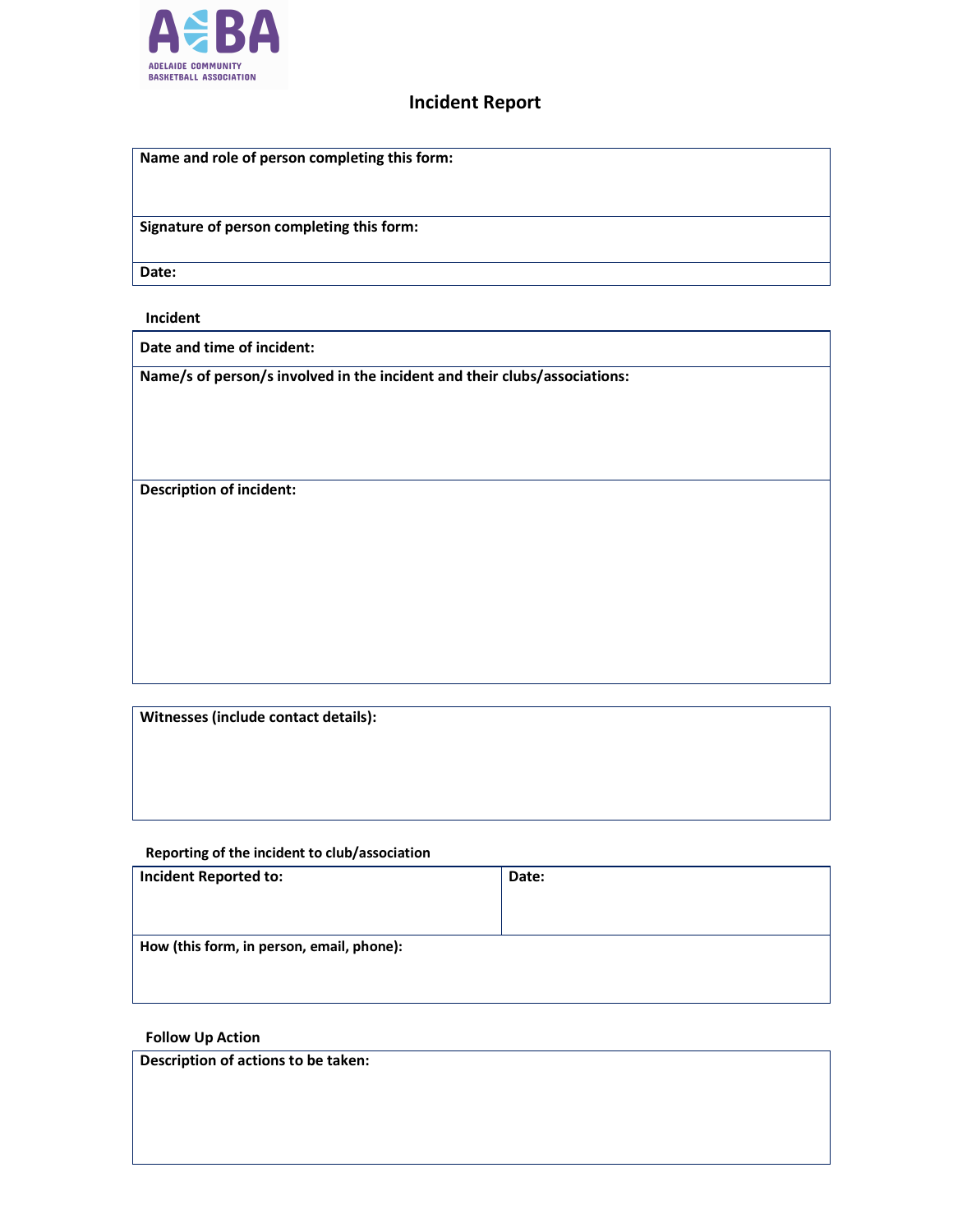

## Incident Report

| Name and role of person completing this form: |
|-----------------------------------------------|
|                                               |
|                                               |
|                                               |
| Signature of person completing this form:     |
|                                               |
|                                               |
| Date:                                         |

## Incident

Date and time of incident:

Name/s of person/s involved in the incident and their clubs/associations:

Description of incident:

Witnesses (include contact details):

## Reporting of the incident to club/association

| <b>Incident Reported to:</b>              | Date: |  |
|-------------------------------------------|-------|--|
|                                           |       |  |
|                                           |       |  |
| How (this form, in person, email, phone): |       |  |
|                                           |       |  |
|                                           |       |  |

## Follow Up Action

Description of actions to be taken: